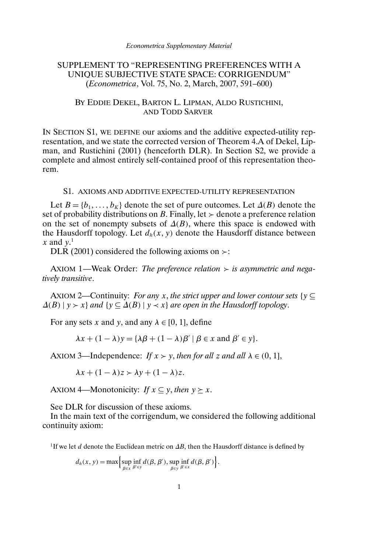# SUPPLEMENT TO "REPRESENTING PREFERENCES WITH A UNIQUE SUBJECTIVE STATE SPACE: CORRIGENDUM" (*Econometrica*, Vol. 75, No. 2, March, 2007, 591–600)

## BY EDDIE DEKEL, BARTON L. LIPMAN, ALDO RUSTICHINI, AND TODD SARVER

IN SECTION S1, WE DEFINE our axioms and the additive expected-utility representation, and we state the corrected version of Theorem 4.A of Dekel, Lipman, and Rustichini (2001) (henceforth DLR). In Section S2, we provide a complete and almost entirely self-contained proof of this representation theorem.

### S1. AXIOMS AND ADDITIVE EXPECTED-UTILITY REPRESENTATION

Let  $B = \{b_1, \ldots, b_K\}$  denote the set of pure outcomes. Let  $\Delta(B)$  denote the set of probability distributions on B. Finally, let  $\geq$  denote a preference relation on the set of nonempty subsets of  $\Delta(B)$ , where this space is endowed with the Hausdorff topology. Let  $d_h(x, y)$  denote the Hausdorff distance between x and  $y$ <sup>1</sup>

DLR (2001) considered the following axioms on  $\ge$ :

AXIOM 1—Weak Order: *The preference relation is asymmetric and negatively transitive*.

AXIOM 2—Continuity: *For any x*, *the strict upper and lower contour sets*  $\{y \subseteq$  $\Delta(B)$  | y > x} and {y  $\subseteq$   $\Delta(B)$  | y < x} are open in the Hausdorff topology.

For any sets x and y, and any  $\lambda \in [0, 1]$ , define

$$
\lambda x + (1 - \lambda) y = {\lambda \beta + (1 - \lambda) \beta' \mid \beta \in x \text{ and } \beta' \in y}.
$$

AXIOM 3—Independence: *If*  $x > y$ , *then for all* z *and all*  $\lambda \in (0, 1]$ ,

 $\lambda x + (1 - \lambda)z > \lambda y + (1 - \lambda)z.$ 

AXIOM 4—Monotonicity: *If*  $x \subseteq y$ , *then*  $y \succ x$ .

See DLR for discussion of these axioms.

In the main text of the corrigendum, we considered the following additional continuity axiom:

<sup>1</sup>If we let d denote the Euclidean metric on  $\Delta B$ , then the Hausdorff distance is defined by

$$
d_h(x, y) = \max \Biggl\{ \sup_{\beta \in x} \inf_{\beta' \in y} d(\beta, \beta'), \sup_{\beta \in y} \inf_{\beta' \in x} d(\beta, \beta') \Biggr\}.
$$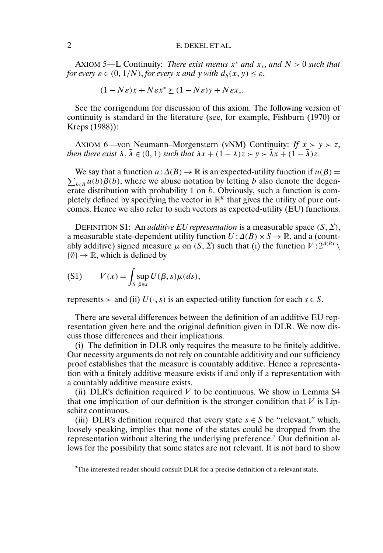## 2 E. DEKEL ET AL.

AXIOM 5—L Continuity: *There exist menus* x<sup>∗</sup> *and* x∗, *and* N > 0 *such that for every*  $\varepsilon \in (0, 1/N)$ *, for every* x *and* y *with*  $d_h(x, y) \leq \varepsilon$ *,* 

$$
(1 - N\varepsilon)x + N\varepsilon x^* \ge (1 - N\varepsilon)y + N\varepsilon x_*.
$$

See the corrigendum for discussion of this axiom. The following version of continuity is standard in the literature (see, for example, Fishburn (1970) or Kreps (1988)):

AXIOM 6—von Neumann–Morgenstern (vNM) Continuity: *If*  $x > y > z$ , *then there exist*  $\lambda$ ,  $\overline{\lambda} \in (0, 1)$  *such that*  $\lambda x + (1 - \lambda)z > y > \overline{\lambda}x + (1 - \overline{\lambda})z$ .

 $\sum_{b \in B} u(b)\beta(b)$ , where we abuse notation by letting b also denote the degen-We say that a function  $u: \Delta(B) \to \mathbb{R}$  is an expected-utility function if  $u(\beta) =$ erate distribution with probability 1 on b. Obviously, such a function is completely defined by specifying the vector in  $\mathbb{R}^K$  that gives the utility of pure outcomes. Hence we also refer to such vectors as expected-utility (EU) functions.

DEFINITION S1: An *additive EU representation* is a measurable space  $(S, \Sigma)$ , a measurable state-dependent utility function  $U : \Delta(B) \times S \rightarrow \mathbb{R}$ , and a (countably additive) signed measure  $\mu$  on  $(S, \Sigma)$  such that (i) the function  $V : 2^{\Delta(B)} \setminus \Sigma$  $\{\emptyset\} \rightarrow \mathbb{R}$ , which is defined by

$$
(S1) \tV(x) = \int_S \sup_{\beta \in x} U(\beta, s) \mu(ds),
$$

represents  $\geq$  and (ii)  $U(\cdot, s)$  is an expected-utility function for each  $s \in S$ .

There are several differences between the definition of an additive EU representation given here and the original definition given in DLR. We now discuss those differences and their implications.

(i) The definition in DLR only requires the measure to be finitely additive. Our necessity arguments do not rely on countable additivity and our sufficiency proof establishes that the measure is countably additive. Hence a representation with a finitely additive measure exists if and only if a representation with a countably additive measure exists.

(ii) DLR's definition required  $V$  to be continuous. We show in Lemma S4 that one implication of our definition is the stronger condition that  $V$  is Lipschitz continuous.

(iii) DLR's definition required that every state  $s \in S$  be "relevant," which, loosely speaking, implies that none of the states could be dropped from the representation without altering the underlying preference.2 Our definition allows for the possibility that some states are not relevant. It is not hard to show

<sup>2</sup>The interested reader should consult DLR for a precise definition of a relevant state.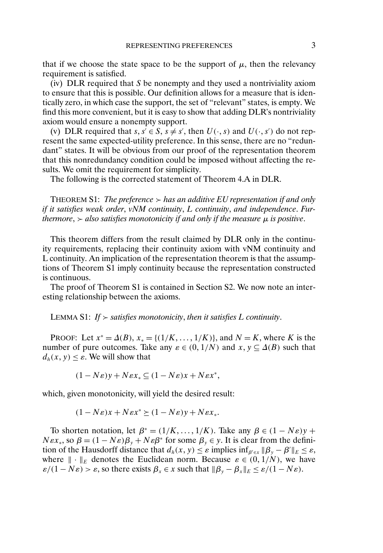that if we choose the state space to be the support of  $\mu$ , then the relevancy requirement is satisfied.

(iv) DLR required that  $S$  be nonempty and they used a nontriviality axiom to ensure that this is possible. Our definition allows for a measure that is identically zero, in which case the support, the set of "relevant" states, is empty. We find this more convenient, but it is easy to show that adding DLR's nontriviality axiom would ensure a nonempty support.

(v) DLR required that  $s, s' \in S$ ,  $s \neq s'$ , then  $U(\cdot, s)$  and  $U(\cdot, s')$  do not represent the same expected-utility preference. In this sense, there are no "redundant" states. It will be obvious from our proof of the representation theorem that this nonredundancy condition could be imposed without affecting the results. We omit the requirement for simplicity.

The following is the corrected statement of Theorem 4.A in DLR.

THEOREM S1: *The preference has an additive EU representation if and only if it satisfies weak order*, *vNM continuity*, *L continuity*, *and independence*. *Furthermore*,  $\geq$  *also satisfies monotonicity if and only if the measure*  $\mu$  *is positive.* 

This theorem differs from the result claimed by DLR only in the continuity requirements, replacing their continuity axiom with vNM continuity and L continuity. An implication of the representation theorem is that the assumptions of Theorem S1 imply continuity because the representation constructed is continuous.

The proof of Theorem S1 is contained in Section S2. We now note an interesting relationship between the axioms.

LEMMA S1: If  $>$  satisfies monotonicity, then it satisfies L continuity.

PROOF: Let  $x^* = \Delta(B), x_* = \{(1/K, ..., 1/K)\}\)$ , and  $N = K$ , where K is the number of pure outcomes. Take any  $\varepsilon \in (0, 1/N)$  and  $x, y \subseteq \Delta(B)$  such that  $d_h(x, y) \leq \varepsilon$ . We will show that

 $(1 - N\varepsilon)y + N\varepsilon x_* \subseteq (1 - N\varepsilon)x + N\varepsilon x^*,$ 

which, given monotonicity, will yield the desired result:

$$
(1 - N\varepsilon)x + N\varepsilon x^* \ge (1 - N\varepsilon)y + N\varepsilon x_*.
$$

To shorten notation, let  $\beta^* = (1/K, ..., 1/K)$ . Take any  $\beta \in (1 - N\varepsilon)y +$  $N\epsilon x_*,$  so  $\beta = (1 - N\epsilon)\beta_v + N\epsilon\beta^*$  for some  $\beta_v \in y$ . It is clear from the definition of the Hausdorff distance that  $d_h(x, y) \leq \varepsilon$  implies  $\inf_{\beta' \in x} ||\beta_y - \beta'||_E \leq \varepsilon$ , where  $\|\cdot\|_E$  denotes the Euclidean norm. Because  $\varepsilon \in (0, 1/N)$ , we have  $\varepsilon/(1 - N\varepsilon) > \varepsilon$ , so there exists  $\beta_x \in x$  such that  $\|\beta_y - \beta_x\|_E \leq \varepsilon/(1 - N\varepsilon)$ .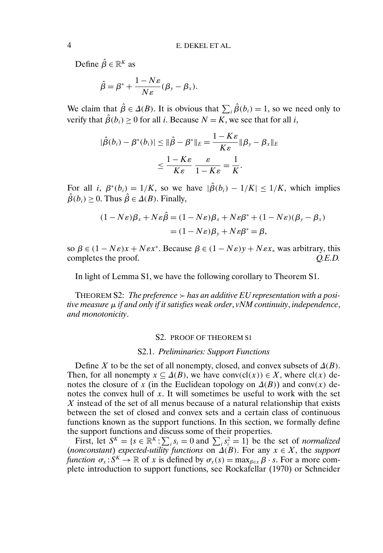Define  $\hat{\beta} \in \mathbb{R}^K$  as

$$
\hat{\beta} = \beta^* + \frac{1 - N\varepsilon}{N\varepsilon} (\beta_y - \beta_x).
$$

We claim that  $\hat{\beta} \in \Delta(B)$ . It is obvious that  $\sum_i \hat{\beta}(b_i) = 1$ , so we need only to verify that  $\hat{\beta}(b_i) \ge 0$  for all *i*. Because  $N = K$ , we see that for all *i*,

$$
|\hat{\beta}(b_i) - \beta^*(b_i)| \le ||\hat{\beta} - \beta^*||_E = \frac{1 - K\varepsilon}{K\varepsilon} ||\beta_y - \beta_x||_E
$$
  

$$
\le \frac{1 - K\varepsilon}{K\varepsilon} \frac{\varepsilon}{1 - K\varepsilon} = \frac{1}{K}.
$$

For all i,  $\beta^*(b_i) = 1/K$ , so we have  $|\hat{\beta}(b_i) - 1/K| \le 1/K$ , which implies  $\hat{\beta}(b_i) \geq 0$ . Thus  $\hat{\beta} \in \Delta(B)$ . Finally,

$$
(1 - N\varepsilon)\beta_x + N\varepsilon \hat{\beta} = (1 - N\varepsilon)\beta_x + N\varepsilon \beta^* + (1 - N\varepsilon)(\beta_y - \beta_x)
$$
  
=  $(1 - N\varepsilon)\beta_y + N\varepsilon \beta^* = \beta$ ,

so  $\beta \in (1 - N\varepsilon)x + N\varepsilon x^*$ . Because  $\beta \in (1 - N\varepsilon)y + N\varepsilon x_*$  was arbitrary, this completes the proof.  $Q.E.D.$ 

In light of Lemma S1, we have the following corollary to Theorem S1.

THEOREM S2: The preference  $\geq$  has an additive EU representation with a posi*tive measure* µ *if and only if it satisfies weak order*, *vNM continuity*, *independence*, *and monotonicity*.

#### S2. PROOF OF THEOREM S1

#### S2.1. *Preliminaries: Support Functions*

Define X to be the set of all nonempty, closed, and convex subsets of  $\Delta(B)$ . Then, for all nonempty  $x \subseteq \Delta(B)$ , we have conv $\text{cl}(x) \in X$ , where  $\text{cl}(x)$  denotes the closure of x (in the Euclidean topology on  $\Delta(B)$ ) and conv(x) denotes the convex hull of  $x$ . It will sometimes be useful to work with the set X instead of the set of all menus because of a natural relationship that exists between the set of closed and convex sets and a certain class of continuous functions known as the support functions. In this section, we formally define the support functions and discuss some of their properties.

First, let  $S^k = \{s \in \mathbb{R}^k : \sum_i s_i = 0 \text{ and } \sum_i s_i^2 = 1\}$  be the set of *normalized* (*nonconstant*) *expected-utility functions* on  $\Delta(B)$ . For any  $x \in X$ , the *support function*  $\sigma_x : S^K \to \mathbb{R}$  of x is defined by  $\sigma_x(s) = \max_{\beta \in x} \beta \cdot s$ . For a more complete introduction to support functions, see Rockafellar (1970) or Schneider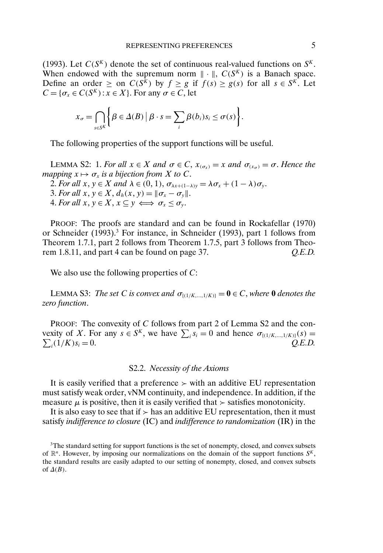(1993). Let  $C(S^K)$  denote the set of continuous real-valued functions on  $S^K$ . When endowed with the supremum norm  $\|\cdot\|$ ,  $C(S^{K})$  is a Banach space. Define an order  $\geq$  on  $C(S^{\tilde{K}})$  by  $f \geq g$  if  $f(s) \geq g(s)$  for all  $s \in S^{\tilde{K}}$ . Let  $C = \{\sigma_x \in C(S^K): x \in X\}$ . For any  $\sigma \in C$ , let

$$
x_{\sigma} = \bigcap_{s \in S^K} \bigg\{ \beta \in \Delta(B) \mid \beta \cdot s = \sum_{i} \beta(b_i) s_i \leq \sigma(s) \bigg\}.
$$

The following properties of the support functions will be useful.

LEMMA S2: 1. *For all*  $x \in X$  *and*  $\sigma \in C$ ,  $x_{(\sigma_X)} = x$  *and*  $\sigma_{(x_{\sigma})} = \sigma$ . *Hence the mapping*  $x \mapsto \sigma_x$  *is a bijection from* X *to* C.

2. *For all*  $x, y \in X$  *and*  $\lambda \in (0, 1), \sigma_{\lambda x + (1-\lambda)y} = \lambda \sigma_x + (1 - \lambda) \sigma_y$ .

3. *For all*  $x, y \in X$ ,  $d_h(x, y) = ||\sigma_x - \sigma_y||$ .

4. *For all*  $x, y \in X, x \subseteq y \iff \sigma_x \leq \sigma_y$ .

PROOF: The proofs are standard and can be found in Rockafellar (1970) or Schneider (1993).3 For instance, in Schneider (1993), part 1 follows from Theorem 1.7.1, part 2 follows from Theorem 1.7.5, part 3 follows from Theorem 1.8.11, and part 4 can be found on page 37. *Q.E.D.*

We also use the following properties of C:

LEMMA S3: *The set C is convex and*  $\sigma_{\{(1/K,\ldots,1/K)\}} = \mathbf{0} \in C$ , where **0** *denotes the zero function*.

PROOF: The convexity of C follows from part 2 of Lemma S2 and the convexity of X. For any  $s \in S^K$ , we have  $\sum_i s_i = 0$  and hence  $\sigma_{\{(1/K,\dots,1/K)\}}(s) =$  $\sum_i (1/K)s_i = 0.$  *Q.E.D.* 

## S2.2. *Necessity of the Axioms*

It is easily verified that a preference  $\geq$  with an additive EU representation must satisfy weak order, vNM continuity, and independence. In addition, if the measure  $\mu$  is positive, then it is easily verified that  $\geq$  satisfies monotonicity.

It is also easy to see that if  $\geq$  has an additive EU representation, then it must satisfy *indifference to closure* (IC) and *indifference to randomization* (IR) in the

<sup>&</sup>lt;sup>3</sup>The standard setting for support functions is the set of nonempty, closed, and convex subsets of  $\mathbb{R}^n$ . However, by imposing our normalizations on the domain of the support functions  $S^k$ , the standard results are easily adapted to our setting of nonempty, closed, and convex subsets of  $\Delta(B)$ .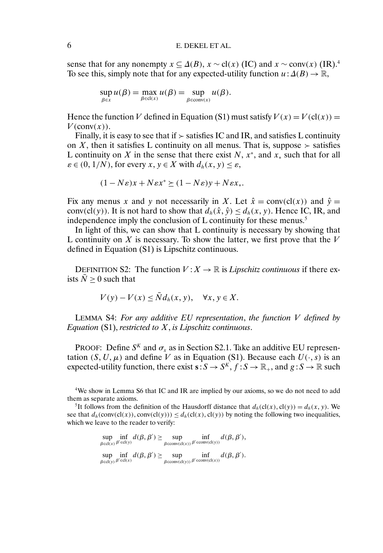sense that for any nonempty  $x \subseteq \Delta(B)$ ,  $x \sim cl(x)$  (IC) and  $x \sim conv(x)$  (IR).<sup>4</sup> To see this, simply note that for any expected-utility function  $u: \Delta(B) \to \mathbb{R}$ ,

$$
\sup_{\beta \in x} u(\beta) = \max_{\beta \in cl(x)} u(\beta) = \sup_{\beta \in conv(x)} u(\beta).
$$

Hence the function V defined in Equation (S1) must satisfy  $V(x) = V(cl(x)) =$  $V$ (conv $(x)$ ).

Finally, it is easy to see that if  $\triangleright$  satisfies IC and IR, and satisfies L continuity on X, then it satisfies L continuity on all menus. That is, suppose  $\succ$  satisfies L continuity on X in the sense that there exist  $N, x^*$ , and  $x_*$  such that for all  $\varepsilon \in (0, 1/N)$ , for every  $x, y \in X$  with  $d_h(x, y) \leq \varepsilon$ ,

$$
(1 - N\varepsilon)x + N\varepsilon x^* \ge (1 - N\varepsilon)y + N\varepsilon x_*.
$$

Fix any menus x and y not necessarily in X. Let  $\hat{x} = \text{conv}(\text{cl}(x))$  and  $\hat{y} =$ conv(cl(y)). It is not hard to show that  $d_h(\hat{x}, \hat{y}) \leq d_h(x, y)$ . Hence IC, IR, and independence imply the conclusion of  $L$  continuity for these menus.<sup>5</sup>

In light of this, we can show that L continuity is necessary by showing that L continuity on  $X$  is necessary. To show the latter, we first prove that the  $V$ defined in Equation (S1) is Lipschitz continuous.

DEFINITION S2: The function  $V: X \to \mathbb{R}$  is *Lipschitz continuous* if there exists  $N > 0$  such that

$$
V(y) - V(x) \leq \bar{N}d_h(x, y), \quad \forall x, y \in X.
$$

LEMMA S4: *For any additive EU representation*, *the function* V *defined by Equation* (S1), *restricted to* X, *is Lipschitz continuous*.

PROOF: Define  $S<sup>K</sup>$  and  $\sigma_x$  as in Section S2.1. Take an additive EU representation  $(S, U, \mu)$  and define V as in Equation (S1). Because each  $U(\cdot, s)$  is an expected-utility function, there exist  $\mathbf{s}: S \to S^K$ ,  $f: S \to \mathbb{R}_+$ , and  $g: S \to \mathbb{R}$  such

4We show in Lemma S6 that IC and IR are implied by our axioms, so we do not need to add them as separate axioms.

<sup>5</sup>It follows from the definition of the Hausdorff distance that  $d_h(cl(x), cl(y)) = d_h(x, y)$ . We see that  $d_h(\text{conv}(cl(x)), \text{conv}(cl(y))) \leq d_h(cl(x), cl(y))$  by noting the following two inequalities, which we leave to the reader to verify:

$$
\sup_{\beta \in cl(x)} \inf_{\beta' \in cl(y)} d(\beta, \beta') \geq \sup_{\beta \in \text{conv}(cl(x))} \inf_{\beta' \in \text{conv}(cl(y))} d(\beta, \beta'),
$$
  
\n
$$
\sup_{\beta \in cl(y)} \inf_{\beta' \in cl(x)} d(\beta, \beta') \geq \sup_{\beta \in \text{conv}(cl(y))} \inf_{\beta' \in \text{conv}(cl(x))} d(\beta, \beta').
$$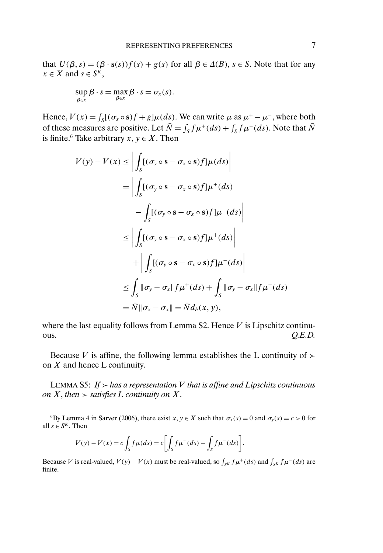that  $U(\beta, s) = (\beta \cdot s(s))f(s) + g(s)$  for all  $\beta \in \Delta(B)$ ,  $s \in S$ . Note that for any  $x \in X$  and  $s \in S^K$ ,

$$
\sup_{\beta \in x} \beta \cdot s = \max_{\beta \in x} \beta \cdot s = \sigma_x(s).
$$

Hence,  $V(x) = \int_S [(\sigma_x \circ s)f + g]\mu(ds)$ . We can write  $\mu$  as  $\mu^+ - \mu^-$ , where both of these measures are positive. Let  $\bar{N} = \int_{S} f \mu^{+}(ds) + \int_{S} f \mu^{-}(ds)$ . Note that  $\bar{N}$ is finite.<sup>6</sup> Take arbitrary  $x, y \in X$ . Then

$$
V(y) - V(x) \le \left| \int_{S} [(\sigma_y \circ s - \sigma_x \circ s) f] \mu(ds) \right|
$$
  
\n
$$
= \left| \int_{S} [(\sigma_y \circ s - \sigma_x \circ s) f] \mu^+(ds) \right|
$$
  
\n
$$
- \int_{S} [(\sigma_y \circ s - \sigma_x \circ s) f] \mu^-(ds) \right|
$$
  
\n
$$
\le \left| \int_{S} [(\sigma_y \circ s - \sigma_x \circ s) f] \mu^+(ds) \right|
$$
  
\n
$$
+ \left| \int_{S} [(\sigma_y \circ s - \sigma_x \circ s) f] \mu^-(ds) \right|
$$
  
\n
$$
\le \int_{S} ||\sigma_y - \sigma_x|| f \mu^+(ds) + \int_{S} ||\sigma_y - \sigma_x|| f \mu^-(ds)
$$
  
\n
$$
= \bar{N} || \sigma_x - \sigma_x || = \bar{N} d_h(x, y),
$$

where the last equality follows from Lemma S2. Hence  $V$  is Lipschitz continu- $Q.E.D.$ 

Because V is affine, the following lemma establishes the L continuity of  $\succ$ on  $X$  and hence  $L$  continuity.

LEMMA S5: If  $>$  has a representation V that is affine and Lipschitz continuous *on*  $X$ *, then*  $>$  *satisfies*  $L$  *continuity on*  $X$ *.* 

<sup>6</sup>By Lemma 4 in Sarver (2006), there exist  $x, y \in X$  such that  $\sigma_x(s) = 0$  and  $\sigma_y(s) = c > 0$  for all  $s \in S^K$ . Then

$$
V(y) - V(x) = c \int_S f\mu(ds) = c \left[ \int_S f\mu^+(ds) - \int_S f\mu^-(ds) \right].
$$

Because V is real-valued,  $V(y) - V(x)$  must be real-valued, so  $\int_{S^K} f \mu^+(ds)$  and  $\int_{S^K} f \mu^-(ds)$  are finite.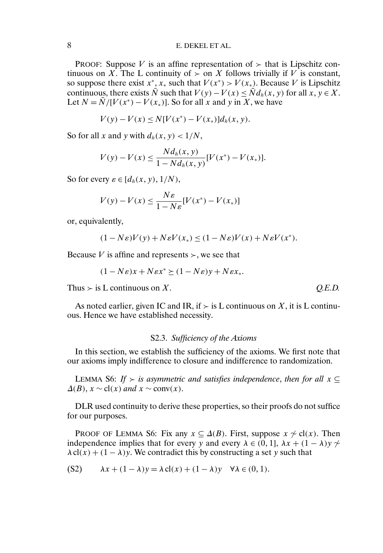## 8 E. DEKEL ET AL.

PROOF: Suppose V is an affine representation of  $\succ$  that is Lipschitz continuous on X. The L continuity of  $\geq$  on X follows trivially if V is constant, so suppose there exist  $x^*$ ,  $x_*$  such that  $V(x^*) > V(x_*)$ . Because V is Lipschitz continuous, there exists  $\overline{N}$  such that  $V(y) - V(x) \leq \overline{N}d_h(x, y)$  for all  $x, y \in X$ . Let  $N = N/[V(x^*) - V(x_*)]$ . So for all x and y in X, we have

$$
V(y) - V(x) \le N[V(x^*) - V(x_*)]d_h(x, y).
$$

So for all x and y with  $d_h(x, y) < 1/N$ ,

$$
V(y) - V(x) \le \frac{N d_h(x, y)}{1 - N d_h(x, y)} [V(x^*) - V(x_*)].
$$

So for every  $\varepsilon \in [d_h(x, y), 1/N)$ ,

$$
V(y) - V(x) \le \frac{N\varepsilon}{1 - N\varepsilon} [V(x^*) - V(x_*)]
$$

or, equivalently,

$$
(1 - N\varepsilon)V(y) + N\varepsilon V(x_*) \le (1 - N\varepsilon)V(x) + N\varepsilon V(x^*).
$$

Because V is affine and represents  $\succ$ , we see that

$$
(1 - N\varepsilon)x + N\varepsilon x^* \ge (1 - N\varepsilon)y + N\varepsilon x_*.
$$

Thus  $\ge$  is L continuous on X.  $O.E.D.$ 

As noted earlier, given IC and IR, if  $\geq$  is L continuous on X, it is L continuous. Hence we have established necessity.

#### S2.3. *Sufficiency of the Axioms*

In this section, we establish the sufficiency of the axioms. We first note that our axioms imply indifference to closure and indifference to randomization.

LEMMA S6: *If*  $>$  *is asymmetric and satisfies independence, then for all*  $x \subseteq$  $\Delta(B)$ ,  $x \sim$  cl(x) *and*  $x \sim$  conv(x).

DLR used continuity to derive these properties, so their proofs do not suffice for our purposes.

PROOF OF LEMMA S6: Fix any  $x \subseteq \Delta(B)$ . First, suppose  $x \nsim cl(x)$ . Then independence implies that for every y and every  $\lambda \in (0, 1]$ ,  $\lambda x + (1 - \lambda)y \sim$  $\lambda$  cl(x) + (1 –  $\lambda$ )y. We contradict this by constructing a set y such that

(S2) 
$$
\lambda x + (1 - \lambda)y = \lambda cl(x) + (1 - \lambda)y \quad \forall \lambda \in (0, 1).
$$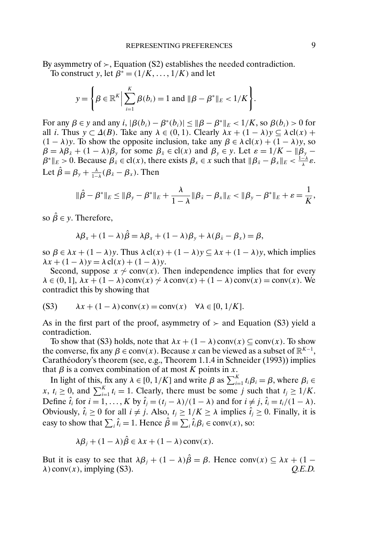By asymmetry of  $\rightarrow$ , Equation (S2) establishes the needed contradiction.

To construct y, let  $\beta^* = (1/K, \dots, 1/K)$  and let

$$
y = \left\{\beta \in \mathbb{R}^K \Big| \sum_{i=1}^K \beta(b_i) = 1 \text{ and } ||\beta - \beta^*||_E < 1/K\right\}.
$$

For any  $\beta \in y$  and any  $i$ ,  $|\beta(b_i) - \beta^*(b_i)| \leq ||\beta - \beta^*||_E < 1/K$ , so  $\beta(b_i) > 0$  for all *i*. Thus  $y \subset \Delta(B)$ . Take any  $\lambda \in (0,1)$ . Clearly  $\lambda x + (1 - \lambda)y \subseteq \lambda cl(x)$  +  $(1 - \lambda)y$ . To show the opposite inclusion, take any  $\beta \in \lambda$  cl $(x) + (1 - \lambda)y$ , so  $\beta = \lambda \beta_{\bar{x}} + (1 - \lambda) \beta_{y}$  for some  $\beta_{\bar{x}} \in \text{cl}(x)$  and  $\beta_{y} \in y$ . Let  $\varepsilon = 1/K - ||\beta_{y} - \beta_{z}||$  $\beta^* \|_{E} > 0$ . Because  $\beta_{\bar{x}} \in \text{cl}(x)$ , there exists  $\beta_x \in x$  such that  $\|\beta_{\bar{x}} - \beta_x\|_{E} < \frac{1-\lambda}{\lambda} \varepsilon$ . Let  $\hat{\beta} = \beta_{y} + \frac{\lambda}{1-\lambda}(\beta_{\bar{x}} - \beta_{x})$ . Then

$$
\|\hat{\beta}-\beta^*\|_E \leq \|\beta_{y}-\beta^*\|_E + \frac{\lambda}{1-\lambda}\|\beta_{\bar{x}}-\beta_{x}\|_E < \|\beta_{y}-\beta^*\|_E + \varepsilon = \frac{1}{K},
$$

so  $\hat{\beta} \in y$ . Therefore,

$$
\lambda \beta_x + (1 - \lambda) \hat{\beta} = \lambda \beta_x + (1 - \lambda) \beta_y + \lambda (\beta_{\bar{x}} - \beta_x) = \beta,
$$

so  $\beta \in \lambda x + (1 - \lambda)y$ . Thus  $\lambda$  cl(x) +  $(1 - \lambda)y \subseteq \lambda x + (1 - \lambda)y$ , which implies  $\lambda x + (1 - \lambda) y = \lambda \operatorname{cl}(x) + (1 - \lambda) y.$ 

Second, suppose  $x \sim \text{conv}(x)$ . Then independence implies that for every  $\lambda \in (0, 1], \lambda x + (1 - \lambda) \text{conv}(x) \sim \lambda \text{conv}(x) + (1 - \lambda) \text{conv}(x) = \text{conv}(x)$ . We contradict this by showing that

(S3) 
$$
\lambda x + (1 - \lambda)\operatorname{conv}(x) = \operatorname{conv}(x) \quad \forall \lambda \in [0, 1/K].
$$

As in the first part of the proof, asymmetry of  $\geq$  and Equation (S3) yield a contradiction.

To show that (S3) holds, note that  $\lambda x + (1 - \lambda) \text{conv}(x) \subseteq \text{conv}(x)$ . To show the converse, fix any  $\beta \in \text{conv}(x)$ . Because x can be viewed as a subset of  $\mathbb{R}^{K-1}$ , Carathéodory's theorem (see, e.g., Theorem 1.1.4 in Schneider (1993)) implies that  $\beta$  is a convex combination of at most K points in x.

In light of this, fix any  $\lambda \in [0, 1/K]$  and write  $\beta$  as  $\sum_{i=1}^{K} t_i \beta_i = \beta$ , where  $\beta_i \in$ x,  $t_i \geq 0$ , and  $\sum_{i=1}^{K} t_i = 1$ . Clearly, there must be some j such that  $t_j \geq 1/K$ . Define  $\hat{t}_i$  for  $i = 1, ..., K$  by  $\hat{t}_j = (t_j - \lambda)/(1 - \lambda)$  and for  $i \neq j$ ,  $\hat{t}_i = t_i/(1 - \lambda)$ . Obviously,  $\hat{t}_i \ge 0$  for all  $i \ne j$ . Also,  $t_j \ge 1/K \ge \lambda$  implies  $\hat{t}_j \ge 0$ . Finally, it is easy to show that  $\sum_i \hat{t}_i = 1$ . Hence  $\hat{\beta} \equiv \sum_i \hat{t}_i \beta_i \in \text{conv}(x)$ , so:

$$
\lambda \beta_j + (1 - \lambda) \hat{\beta} \in \lambda x + (1 - \lambda) \text{conv}(x).
$$

But it is easy to see that  $\lambda \beta_i + (1 - \lambda)\hat{\beta} = \beta$ . Hence conv $(x) \subseteq \lambda x + (1 - \lambda)\hat{\beta} = \beta$ .  $\lambda$ ) conv(x), implying (S3).  $Q.E.D.$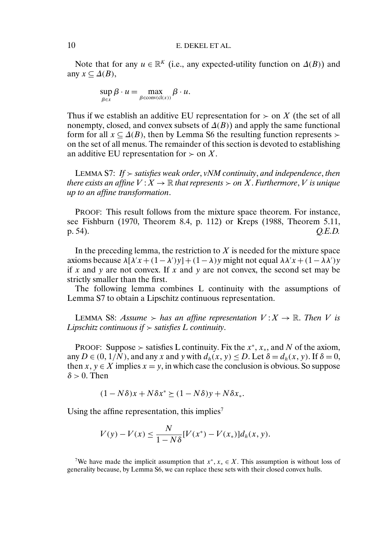Note that for any  $u \in \mathbb{R}^K$  (i.e., any expected-utility function on  $\Delta(B)$ ) and any  $x \subseteq \Delta(B)$ ,

$$
\sup_{\beta \in x} \beta \cdot u = \max_{\beta \in \text{conv}(\text{cl}(x))} \beta \cdot u.
$$

Thus if we establish an additive EU representation for  $\geq$  on X (the set of all nonempty, closed, and convex subsets of  $\Delta(B)$ ) and apply the same functional form for all  $x \subseteq \Delta(B)$ , then by Lemma S6 the resulting function represents  $\succ$ on the set of all menus. The remainder of this section is devoted to establishing an additive EU representation for  $\geq$  on X.

LEMMA S7: *If satisfies weak order*, *vNM continuity*, *and independence*, *then there exists an affine*  $V : X \to \mathbb{R}$  *that represents*  $\succ$  *on* X. *Furthermore*, V *is unique up to an affine transformation*.

PROOF: This result follows from the mixture space theorem. For instance, see Fishburn (1970, Theorem 8.4, p. 112) or Kreps (1988, Theorem 5.11, p. 54). *Q.E.D.*

In the preceding lemma, the restriction to  $X$  is needed for the mixture space axioms because  $\lambda[\lambda' x + (1 - \lambda') y] + (1 - \lambda) y$  might not equal  $\lambda \lambda' x + (1 - \lambda \lambda') y$ if x and y are not convex. If x and y are not convex, the second set may be strictly smaller than the first.

The following lemma combines L continuity with the assumptions of Lemma S7 to obtain a Lipschitz continuous representation.

LEMMA S8: *Assume*  $>$  *has an affine representation*  $V: X \rightarrow \mathbb{R}$ *. Then* V *is Lipschitz continuous if*  $\geq$  *satisfies L continuity.* 

PROOF: Suppose  $\succ$  satisfies L continuity. Fix the  $x^*$ ,  $x_*$ , and N of the axiom, any  $D \in (0, 1/N)$ , and any x and y with  $d_h(x, y) \le D$ . Let  $\delta = d_h(x, y)$ . If  $\delta = 0$ , then  $x, y \in X$  implies  $x = y$ , in which case the conclusion is obvious. So suppose  $\delta > 0$ . Then

 $(1 - N\delta)x + N\delta x^* \ge (1 - N\delta)y + N\delta x_*$ .

Using the affine representation, this implies<sup>7</sup>

$$
V(y) - V(x) \le \frac{N}{1 - N\delta} [V(x^*) - V(x_*)] d_h(x, y).
$$

<sup>&</sup>lt;sup>7</sup>We have made the implicit assumption that  $x^*$ ,  $x_* \in X$ . This assumption is without loss of generality because, by Lemma S6, we can replace these sets with their closed convex hulls.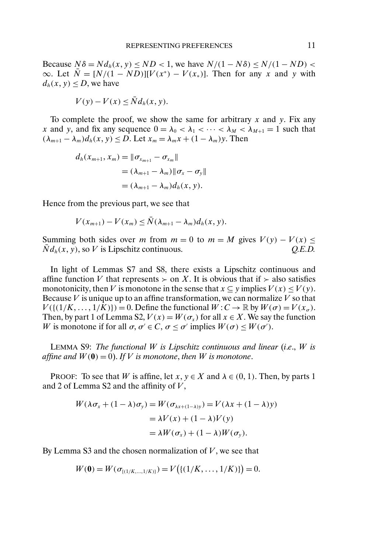Because  $N\delta = N d_h(x, y) \leq ND \leq 1$ , we have  $N/(1 - N\delta) \leq N/(1 - ND) \leq$ ∞. Let  $\overline{N} = [N/(1 - ND)][V(x^*) - V(x_*)]$ . Then for any x and y with  $d_h(x, y) \leq D$ , we have

$$
V(y) - V(x) \leq \bar{N}d_h(x, y).
$$

To complete the proof, we show the same for arbitrary x and y. Fix any x and y, and fix any sequence  $0 = \lambda_0 < \lambda_1 < \cdots < \lambda_M < \lambda_{M+1} = 1$  such that  $(\lambda_{m+1} - \lambda_m)d_h(x, y) \leq D$ . Let  $x_m = \lambda_m x + (1 - \lambda_m)y$ . Then

$$
d_h(x_{m+1}, x_m) = ||\sigma_{x_{m+1}} - \sigma_{x_m}||
$$
  
=  $(\lambda_{m+1} - \lambda_m) ||\sigma_x - \sigma_y||$   
=  $(\lambda_{m+1} - \lambda_m) d_h(x, y).$ 

Hence from the previous part, we see that

$$
V(x_{m+1})-V(x_m)\leq \bar{N}(\lambda_{m+1}-\lambda_m)d_h(x,y).
$$

Summing both sides over m from  $m = 0$  to  $m = M$  gives  $V(y) - V(x) \le$  $Nd_h(x, y)$ , so V is Lipschitz continuous.  $Q.E.D.$ 

In light of Lemmas S7 and S8, there exists a Lipschitz continuous and affine function V that represents  $\geq$  on X. It is obvious that if  $\geq$  also satisfies monotonicity, then V is monotone in the sense that  $x \subseteq y$  implies  $V(x) \le V(y)$ . Because  $V$  is unique up to an affine transformation, we can normalize  $V$  so that  $V({(1/K, ..., 1/K)}) = 0$ . Define the functional  $W: C \to \mathbb{R}$  by  $W(\sigma) = V(x_{\sigma})$ . Then, by part 1 of Lemma S2,  $V(x) = W(\sigma_x)$  for all  $x \in X$ . We say the function W is monotone if for all  $\sigma, \sigma \in C$ ,  $\sigma \leq \sigma'$  implies  $W(\sigma) \leq W(\sigma')$ .

LEMMA S9: *The functional* W *is Lipschitz continuous and linear* (*i*.*e*., W *is affine and*  $W(0) = 0$ . If V is monotone, then W is monotone.

PROOF: To see that W is affine, let x,  $y \in X$  and  $\lambda \in (0, 1)$ . Then, by parts 1 and 2 of Lemma S2 and the affinity of  $V$ ,

$$
W(\lambda \sigma_x + (1 - \lambda)\sigma_y) = W(\sigma_{\lambda x + (1 - \lambda)y}) = V(\lambda x + (1 - \lambda)y)
$$
  
=  $\lambda V(x) + (1 - \lambda)V(y)$   
=  $\lambda W(\sigma_x) + (1 - \lambda)W(\sigma_y).$ 

By Lemma S3 and the chosen normalization of  $V$ , we see that

$$
W(\mathbf{0}) = W(\sigma_{\{(1/K,\dots,1/K)\}}) = V(\{(1/K,\dots,1/K)\}) = 0.
$$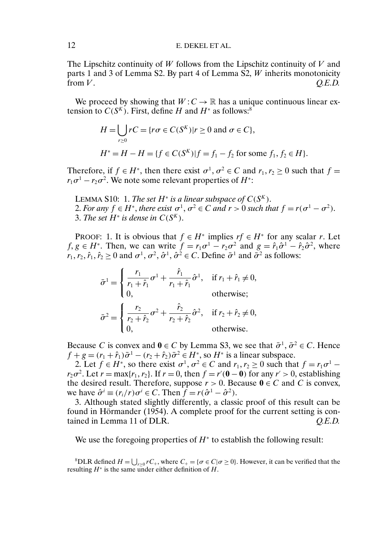The Lipschitz continuity of  $W$  follows from the Lipschitz continuity of  $V$  and parts 1 and 3 of Lemma S2. By part 4 of Lemma S2,  $W$  inherits monotonicity from  $V$ .  $Q.E.D.$ 

We proceed by showing that  $W: C \to \mathbb{R}$  has a unique continuous linear extension to  $C(S<sup>K</sup>)$ . First, define H and  $H^*$  as follows:<sup>8</sup>

$$
H = \bigcup_{r \ge 0} rC = \{ r\sigma \in C(S^K) | r \ge 0 \text{ and } \sigma \in C \},
$$
  

$$
H^* = H - H = \{ f \in C(S^K) | f = f_1 - f_2 \text{ for some } f_1, f_2 \in H \}.
$$

Therefore, if  $f \in H^*$ , then there exist  $\sigma^1$ ,  $\sigma^2 \in C$  and  $r_1, r_2 \ge 0$  such that  $f =$  $r_1\sigma^1 - r_2\sigma^2$ . We note some relevant properties of  $H^*$ :

LEMMA S10: 1. *The set*  $H^*$  *is a linear subspace of*  $C(S^K)$ *.* 2. For any  $f \in H^*$ , there exist  $\sigma^1$ ,  $\sigma^2 \in C$  and  $r > 0$  such that  $f = r(\sigma^1 - \sigma^2)$ . 3. The set  $H^*$  is dense in  $C(S^K)$ .

PROOF: 1. It is obvious that  $f \in H^*$  implies  $rf \in H^*$  for any scalar r. Let  $f, g \in H^*$ . Then, we can write  $f = r_1 \sigma^1 - r_2 \sigma^2$  and  $g = \hat{r}_1 \hat{\sigma}^1 - \hat{r}_2 \hat{\sigma}^2$ , where  $r_1, r_2, \hat{r}_1, \hat{r}_2 \ge 0$  and  $\sigma^1, \sigma^2, \hat{\sigma}^1, \hat{\sigma}^2 \in C$ . Define  $\bar{\sigma}^1$  and  $\bar{\sigma}^2$  as follows:

$$
\bar{\sigma}^{1} = \begin{cases} \frac{r_{1}}{r_{1} + \hat{r}_{1}} \sigma^{1} + \frac{\hat{r}_{1}}{r_{1} + \hat{r}_{1}} \hat{\sigma}^{1}, & \text{if } r_{1} + \hat{r}_{1} \neq 0, \\ 0, & \text{otherwise}; \end{cases}
$$

$$
\bar{\sigma}^{2} = \begin{cases} \frac{r_{2}}{r_{2} + \hat{r}_{2}} \sigma^{2} + \frac{\hat{r}_{2}}{r_{2} + \hat{r}_{2}} \hat{\sigma}^{2}, & \text{if } r_{2} + \hat{r}_{2} \neq 0, \\ 0, & \text{otherwise}. \end{cases}
$$

Because C is convex and  $0 \in C$  by Lemma S3, we see that  $\bar{\sigma}^1$ ,  $\bar{\sigma}^2 \in C$ . Hence  $f + g = (r_1 + \hat{r}_1)\bar{\sigma}^1 - (r_2 + \hat{r}_2)\bar{\sigma}^2 \in H^*$ , so  $H^*$  is a linear subspace.

2. Let  $f \in H^*$ , so there exist  $\sigma^1$ ,  $\sigma^2 \in C$  and  $r_1, r_2 \ge 0$  such that  $f = r_1 \sigma^1$  $r_2\sigma^2$ . Let  $r = \max\{r_1, r_2\}$ . If  $r = 0$ , then  $f = r'(0 - 0)$  for any  $r' > 0$ , establishing the desired result. Therefore, suppose  $r > 0$ . Because  $0 \in C$  and C is convex, we have  $\hat{\sigma}^i \equiv (r_i/r)\sigma^i \in C$ . Then  $f = r(\hat{\sigma}^1 - \hat{\sigma}^2)$ .

3. Although stated slightly differently, a classic proof of this result can be found in Hörmander (1954). A complete proof for the current setting is contained in Lemma 11 of DLR. *Q.E.D.*

We use the foregoing properties of  $H^*$  to establish the following result:

<sup>8</sup>DLR defined  $H = \bigcup_{r \geq 0} rC_+$ , where  $C_+ = \{\sigma \in C | \sigma \geq 0\}$ . However, it can be verified that the resulting  $H^*$  is the same under either definition of  $H$ .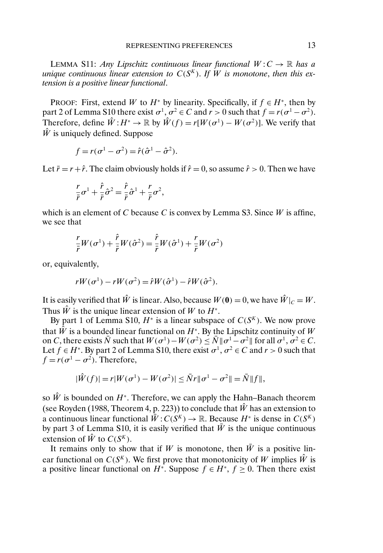LEMMA S11: *Any Lipschitz continuous linear functional*  $W: C \to \mathbb{R}$  *has a unique continuous linear extension to*  $C(S<sup>K</sup>)$ *. If* W *is monotone, then this extension is a positive linear functional*.

PROOF: First, extend W to  $H^*$  by linearity. Specifically, if  $f \in H^*$ , then by part 2 of Lemma S10 there exist  $\sigma^1$ ,  $\sigma^2 \in C$  and  $r > 0$  such that  $f = r(\sigma^1 - \sigma^2)$ . Therefore, define  $\hat{W}: H^* \to \mathbb{R}$  by  $\hat{W}(f) = r[W(\sigma^1) - W(\sigma^2)]$ . We verify that  $\hat{W}$  is uniquely defined. Suppose

$$
f = r(\sigma^1 - \sigma^2) = \hat{r}(\hat{\sigma}^1 - \hat{\sigma}^2).
$$

Let  $\bar{r} = r + \hat{r}$ . The claim obviously holds if  $\hat{r} = 0$ , so assume  $\hat{r} > 0$ . Then we have

$$
\frac{r}{\bar{r}}\sigma^1 + \frac{\hat{r}}{\bar{r}}\hat{\sigma}^2 = \frac{\hat{r}}{\bar{r}}\hat{\sigma}^1 + \frac{r}{\bar{r}}\sigma^2,
$$

which is an element of C because C is convex by Lemma S3. Since  $W$  is affine, we see that

$$
\frac{r}{\bar{r}}W(\sigma^1) + \frac{\hat{r}}{\bar{r}}W(\hat{\sigma}^2) = \frac{\hat{r}}{\bar{r}}W(\hat{\sigma}^1) + \frac{r}{\bar{r}}W(\sigma^2)
$$

or, equivalently,

$$
rW(\sigma^{1}) - rW(\sigma^{2}) = \hat{r}W(\hat{\sigma}^{1}) - \hat{r}W(\hat{\sigma}^{2}).
$$

It is easily verified that  $\hat{W}$  is linear. Also, because  $W(\mathbf{0}) = 0$ , we have  $\hat{W}|_C = W$ . Thus  $\hat{W}$  is the unique linear extension of W to  $H^*$ .

By part 1 of Lemma S10,  $H^*$  is a linear subspace of  $C(S^K)$ . We now prove that  $\hat{W}$  is a bounded linear functional on  $H^*$ . By the Lipschitz continuity of W on C, there exists  $\bar{N}$  such that  $W(\sigma^1) - W(\sigma^2) \leq \bar{N} || \sigma^1 - \sigma^2 ||$  for all  $\sigma^1, \sigma^2 \in C$ . Let  $f \in H^*$ . By part 2 of Lemma S10, there exist  $\sigma^1$ ,  $\sigma^2 \in C$  and  $r > 0$  such that  $f = r(\sigma^1 - \sigma^2)$ . Therefore,

$$
|\hat{W}(f)| = r|W(\sigma^1) - W(\sigma^2)| \leq \bar{N}r \|\sigma^1 - \sigma^2\| = \bar{N} \|f\|,
$$

so  $\hat{W}$  is bounded on  $H^*$ . Therefore, we can apply the Hahn–Banach theorem (see Royden (1988, Theorem 4, p. 223)) to conclude that  $\hat{W}$  has an extension to a continuous linear functional  $\bar{W}$ :  $C(S^K) \to \mathbb{R}$ . Because  $H^*$  is dense in  $C(S^K)$ by part 3 of Lemma S10, it is easily verified that  $\bar{W}$  is the unique continuous extension of  $\hat{W}$  to  $C(S^K)$ .

It remains only to show that if W is monotone, then  $\overline{W}$  is a positive linear functional on  $C(S<sup>K</sup>)$ . We first prove that monotonicity of W implies  $\hat{W}$  is a positive linear functional on  $H^*$ . Suppose  $f \in H^*$ ,  $f \ge 0$ . Then there exist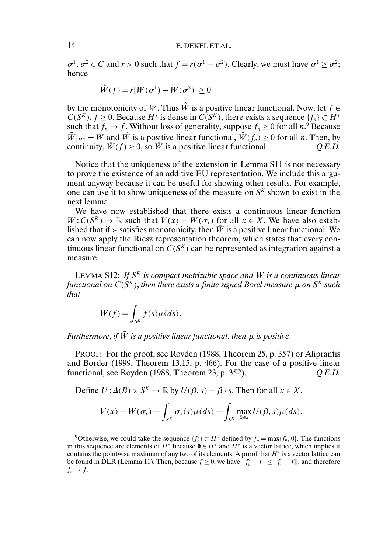$\sigma^1$ ,  $\sigma^2 \in C$  and  $r > 0$  such that  $f = r(\sigma^1 - \sigma^2)$ . Clearly, we must have  $\sigma^1 \ge \sigma^2$ ; hence

$$
\hat{W}(f) = r[W(\sigma^1) - W(\sigma^2)] \ge 0
$$

by the monotonicity of W. Thus  $\hat{W}$  is a positive linear functional. Now, let  $f \in$  $C(S<sup>K</sup>)$ ,  $f \ge 0$ . Because  $H^*$  is dense in  $C(S<sup>K</sup>)$ , there exists a sequence  $\{f_n\} \subset H^*$ such that  $f_n \to f$ . Without loss of generality, suppose  $f_n \geq 0$  for all  $n$ .<sup>9</sup> Because  $\overline{W}|_{H^*} = \hat{W}$  and  $\hat{W}$  is a positive linear functional,  $\overline{W}(f_n) \ge 0$  for all *n*. Then, by continuity,  $\overline{W}(f) > 0$ , so  $\overline{W}$  is a positive linear functional. *O.E.D.* continuity,  $\bar{W}(f) \geq 0$ , so  $\bar{W}$  is a positive linear functional.

Notice that the uniqueness of the extension in Lemma S11 is not necessary to prove the existence of an additive EU representation. We include this argument anyway because it can be useful for showing other results. For example, one can use it to show uniqueness of the measure on  $S<sup>K</sup>$  shown to exist in the next lemma.

We have now established that there exists a continuous linear function  $\bar{W}: C(S^{K}) \to \mathbb{R}$  such that  $V(x) = \bar{W}(\sigma_{x})$  for all  $x \in X$ . We have also established that if  $\ge$  satisfies monotonicity, then  $\bar{W}$  is a positive linear functional. We can now apply the Riesz representation theorem, which states that every continuous linear functional on  $C(S<sup>K</sup>)$  can be represented as integration against a measure.

LEMMA S12: If  $S<sup>K</sup>$  *is compact metrizable space and*  $\overline{W}$  *is a continuous linear functional on*  $C(S^K)$ , *then there exists a finite signed Borel measure*  $\mu$  *on*  $S^K$  *such that*

$$
\bar{W}(f) = \int_{S^K} f(s) \mu(ds).
$$

*Furthermore, if*  $\bar{W}$  *is a positive linear functional, then*  $\mu$  *is positive.* 

PROOF: For the proof, see Royden (1988, Theorem 25, p. 357) or Aliprantis and Border (1999, Theorem 13.15, p. 466). For the case of a positive linear functional, see Royden (1988, Theorem 23, p. 352). *Q.E.D.*

Define  $U: \Delta(B) \times S^K \to \mathbb{R}$  by  $U(\beta, s) = \beta \cdot s$ . Then for all  $x \in X$ ,

$$
V(x) = \bar{W}(\sigma_x) = \int_{S^K} \sigma_x(s) \mu(ds) = \int_{S^K} \max_{\beta \in x} U(\beta, s) \mu(ds).
$$

<sup>9</sup>Otherwise, we could take the sequence  $\{f'_n\} \subset H^*$  defined by  $f'_n = \max\{f_n, 0\}$ . The functions in this sequence are elements of  $H^*$  because  $\mathbf{0} \in H^*$  and  $H^*$  is a vector lattice, which implies it contains the pointwise maximum of any two of its elements. A proof that  $H^*$  is a vector lattice can be found in DLR (Lemma 11). Then, because  $f \ge 0$ , we have  $||f'_n - f|| \le ||f_n - f||$ , and therefore  $f'_n \to f$ .